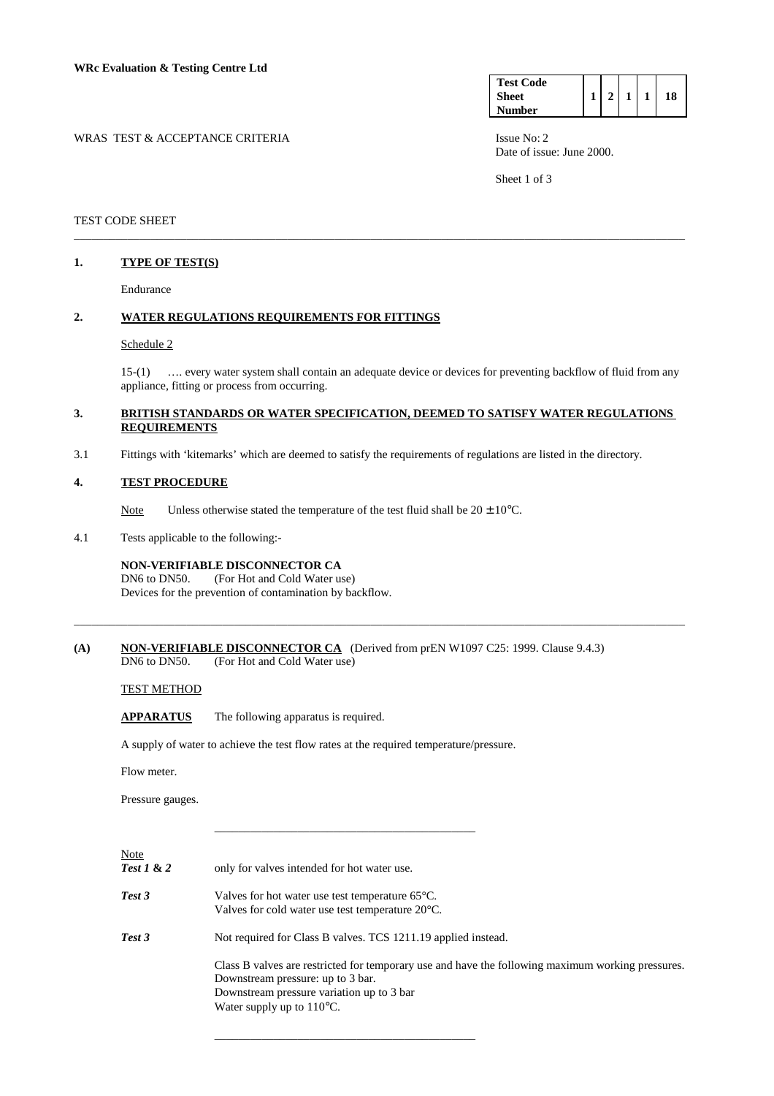| <b>Test Code</b> |  |  |    |
|------------------|--|--|----|
| <b>Sheet</b>     |  |  | 18 |
| <b>Number</b>    |  |  |    |

WRAS TEST & ACCEPTANCE CRITERIA ISSUE No: 2 Date of issue: June 2000.

Sheet 1 of 3

## TEST CODE SHEET

#### **1. TYPE OF TEST(S)**

Endurance

### **2. WATER REGULATIONS REQUIREMENTS FOR FITTINGS**

#### Schedule 2

 15-(1) …. every water system shall contain an adequate device or devices for preventing backflow of fluid from any appliance, fitting or process from occurring.

## **3. BRITISH STANDARDS OR WATER SPECIFICATION, DEEMED TO SATISFY WATER REGULATIONS REQUIREMENTS**

\_\_\_\_\_\_\_\_\_\_\_\_\_\_\_\_\_\_\_\_\_\_\_\_\_\_\_\_\_\_\_\_\_\_\_\_\_\_\_\_\_\_\_\_\_\_\_\_\_\_\_\_\_\_\_\_\_\_\_\_\_\_\_\_\_\_\_\_\_\_\_\_\_\_\_\_\_\_\_\_\_\_\_\_\_\_\_\_\_\_\_\_\_\_\_\_\_\_\_\_\_\_\_

\_\_\_\_\_\_\_\_\_\_\_\_\_\_\_\_\_\_\_\_\_\_\_\_\_\_\_\_\_\_\_\_\_\_\_\_\_\_\_\_\_\_\_\_\_\_\_\_\_\_\_\_\_\_\_\_\_\_\_\_\_\_\_\_\_\_\_\_\_\_\_\_\_\_\_\_\_\_\_\_\_\_\_\_\_\_\_\_\_\_\_\_\_\_\_\_\_\_\_\_\_\_\_

3.1 Fittings with 'kitemarks' which are deemed to satisfy the requirements of regulations are listed in the directory.

#### **4. TEST PROCEDURE**

Note Unless otherwise stated the temperature of the test fluid shall be  $20 \pm 10^{\circ}$ C.

4.1 Tests applicable to the following:-

## **NON-VERIFIABLE DISCONNECTOR CA**

 DN6 to DN50. (For Hot and Cold Water use) Devices for the prevention of contamination by backflow.

(A) NON-VERIFIABLE DISCONNECTOR CA (Derived from prEN W1097 C25: 1999. Clause 9.4.3) DN6 to DN50. (For Hot and Cold Water use)

#### TEST METHOD

**APPARATUS** The following apparatus is required.

A supply of water to achieve the test flow rates at the required temperature/pressure.

Flow meter.

Pressure gauges.

Note

*Test 1* **& 2** only for valves intended for hot water use.

\_\_\_\_\_\_\_\_\_\_\_\_\_\_\_\_\_\_\_\_\_\_\_\_\_\_\_\_\_\_\_\_\_\_\_\_\_\_\_\_\_\_\_\_

*Test 3* Valves for hot water use test temperature 65°C. Valves for cold water use test temperature 20°C.

\_\_\_\_\_\_\_\_\_\_\_\_\_\_\_\_\_\_\_\_\_\_\_\_\_\_\_\_\_\_\_\_\_\_\_\_\_\_\_\_\_\_\_\_

*Test 3* Not required for Class B valves. TCS 1211.19 applied instead.

 Class B valves are restricted for temporary use and have the following maximum working pressures. Downstream pressure: up to 3 bar. Downstream pressure variation up to 3 bar Water supply up to 110°C.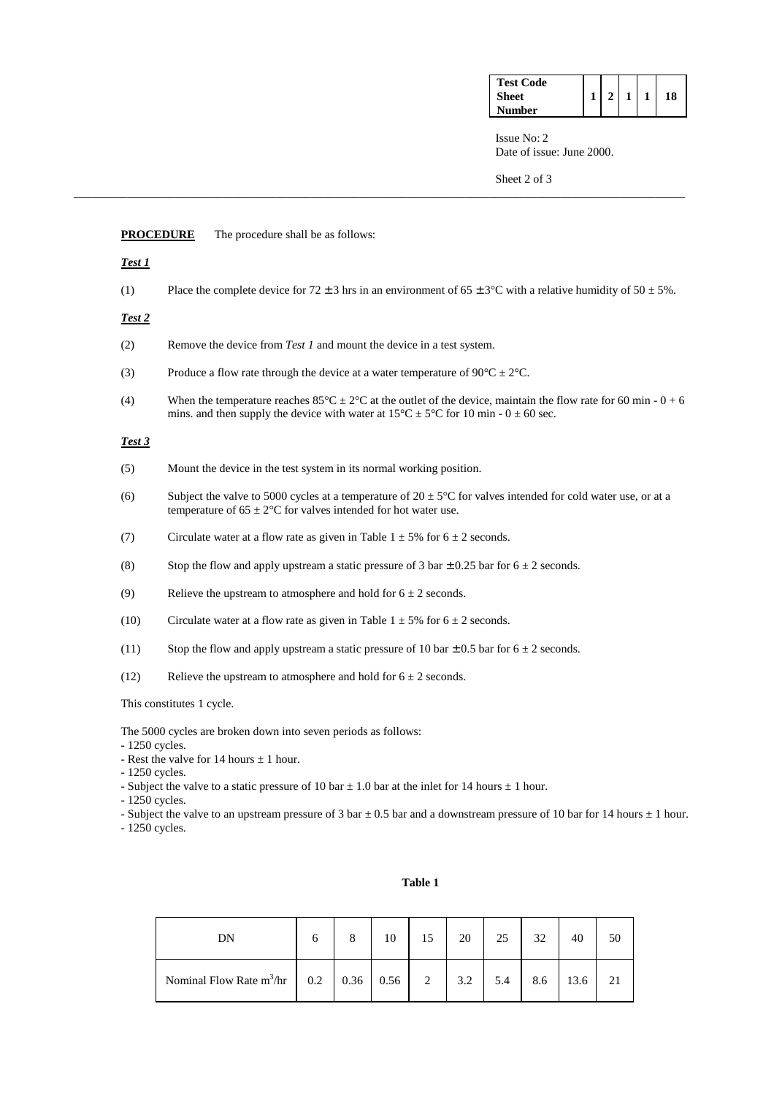| <b>Test Code</b> |  |  |    |
|------------------|--|--|----|
| Sheet            |  |  | 18 |
| Number           |  |  |    |

 $min - 0 + 6$ 

 Issue No: 2 Date of issue: June 2000.

Sheet 2 of 3

|                 | <b>PROCEDURE</b><br>The procedure shall be as follows:                                                                                                                                                                                     |
|-----------------|--------------------------------------------------------------------------------------------------------------------------------------------------------------------------------------------------------------------------------------------|
| Test 1          |                                                                                                                                                                                                                                            |
| (1)             | Place the complete device for $72 \pm 3$ hrs in an environment of $65 \pm 3^{\circ}$ C with a relative humidity of $50 \pm 5\%$ .                                                                                                          |
| Test 2          |                                                                                                                                                                                                                                            |
| (2)             | Remove the device from Test 1 and mount the device in a test system.                                                                                                                                                                       |
| (3)             | Produce a flow rate through the device at a water temperature of $90^{\circ}C \pm 2^{\circ}C$ .                                                                                                                                            |
| (4)             | When the temperature reaches $85^{\circ}$ C $\pm 2^{\circ}$ C at the outlet of the device, maintain the flow rate for 60 min - 0 +<br>mins. and then supply the device with water at $15^{\circ}$ C $\pm$ 5°C for 10 min - 0 $\pm$ 60 sec. |
| Test 3          |                                                                                                                                                                                                                                            |
| (5)             | Mount the device in the test system in its normal working position.                                                                                                                                                                        |
| (6)             | Subject the valve to 5000 cycles at a temperature of $20 \pm 5^{\circ}$ C for valves intended for cold water use, or at a<br>temperature of $65 \pm 2$ °C for valves intended for hot water use.                                           |
| (7)             | Circulate water at a flow rate as given in Table $1 \pm 5\%$ for $6 \pm 2$ seconds.                                                                                                                                                        |
| (8)             | Stop the flow and apply upstream a static pressure of 3 bar $\pm$ 0.25 bar for 6 $\pm$ 2 seconds.                                                                                                                                          |
| (9)             | Relieve the upstream to atmosphere and hold for $6 \pm 2$ seconds.                                                                                                                                                                         |
| (10)            | Circulate water at a flow rate as given in Table $1 \pm 5\%$ for $6 \pm 2$ seconds.                                                                                                                                                        |
| (11)            | Stop the flow and apply upstream a static pressure of 10 bar $\pm$ 0.5 bar for 6 $\pm$ 2 seconds.                                                                                                                                          |
| (12)            | Relieve the upstream to atmosphere and hold for $6 \pm 2$ seconds.                                                                                                                                                                         |
|                 | This constitutes 1 cycle.                                                                                                                                                                                                                  |
| $-1250$ cycles. | The 5000 cycles are broken down into seven periods as follows:<br>- Rest the valve for 14 hours $\pm$ 1 hour.                                                                                                                              |

\_\_\_\_\_\_\_\_\_\_\_\_\_\_\_\_\_\_\_\_\_\_\_\_\_\_\_\_\_\_\_\_\_\_\_\_\_\_\_\_\_\_\_\_\_\_\_\_\_\_\_\_\_\_\_\_\_\_\_\_\_\_\_\_\_\_\_\_\_\_\_\_\_\_\_\_\_\_\_\_\_\_\_\_\_\_\_\_\_\_\_\_\_\_\_\_\_\_\_\_\_\_\_

- 
- 1250 cycles.
- Subject the valve to a static pressure of 10 bar  $\pm$  1.0 bar at the inlet for 14 hours  $\pm$  1 hour.
- 1250 cycles.
- Subject the valve to an upstream pressure of 3 bar  $\pm$  0.5 bar and a downstream pressure of 10 bar for 14 hours  $\pm$  1 hour.

- 1250 cycles.

| DN                                                                                         | 6 | 10 | 20  | 25  | 32  | 40   | 50 |
|--------------------------------------------------------------------------------------------|---|----|-----|-----|-----|------|----|
| Nominal Flow Rate m <sup>3</sup> /hr $\begin{vmatrix} 0.2 & 0.36 & 0.56 & 2 \end{vmatrix}$ |   |    | 3.2 | 5.4 | 8.6 | 13.6 |    |

## **Table 1**